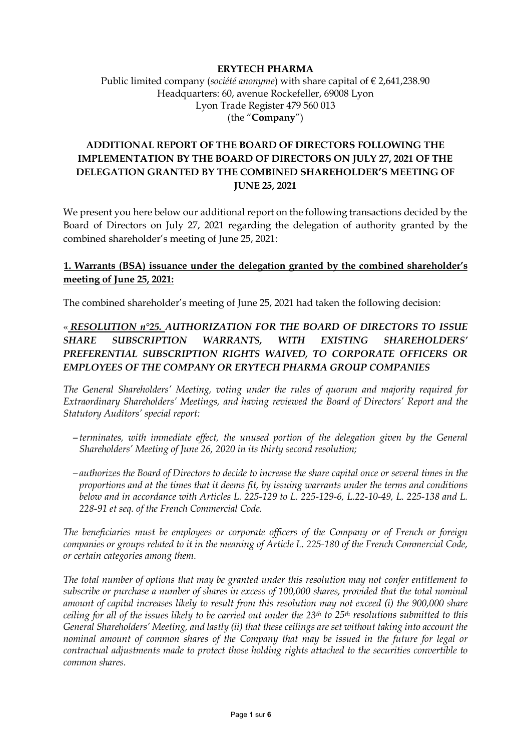### **ERYTECH PHARMA**

Public limited company (*société anonyme*) with share capital of € 2,641,238.90 Headquarters: 60, avenue Rockefeller, 69008 Lyon Lyon Trade Register 479 560 013 (the "**Company**")

# **ADDITIONAL REPORT OF THE BOARD OF DIRECTORS FOLLOWING THE IMPLEMENTATION BY THE BOARD OF DIRECTORS ON JULY 27, 2021 OF THE DELEGATION GRANTED BY THE COMBINED SHAREHOLDER'S MEETING OF JUNE 25, 2021**

We present you here below our additional report on the following transactions decided by the Board of Directors on July 27, 2021 regarding the delegation of authority granted by the combined shareholder's meeting of June 25, 2021:

## **1. Warrants (BSA) issuance under the delegation granted by the combined shareholder's meeting of June 25, 2021:**

The combined shareholder's meeting of June 25, 2021 had taken the following decision:

# « *RESOLUTION n°25. AUTHORIZATION FOR THE BOARD OF DIRECTORS TO ISSUE SHARE SUBSCRIPTION WARRANTS, WITH EXISTING SHAREHOLDERS' PREFERENTIAL SUBSCRIPTION RIGHTS WAIVED, TO CORPORATE OFFICERS OR EMPLOYEES OF THE COMPANY OR ERYTECH PHARMA GROUP COMPANIES*

*The General Shareholders' Meeting, voting under the rules of quorum and majority required for Extraordinary Shareholders' Meetings, and having reviewed the Board of Directors' Report and the Statutory Auditors' special report:*

- *terminates, with immediate effect, the unused portion of the delegation given by the General Shareholders' Meeting of June 26, 2020 in its thirty second resolution;*
- *authorizes the Board of Directors to decide to increase the share capital once or several times in the proportions and at the times that it deems fit, by issuing warrants under the terms and conditions below and in accordance with Articles L. 225-129 to L. 225-129-6, L.22-10-49, L. 225-138 and L. 228-91 et seq. of the French Commercial Code.*

*The beneficiaries must be employees or corporate officers of the Company or of French or foreign companies or groups related to it in the meaning of Article L. 225-180 of the French Commercial Code, or certain categories among them.*

*The total number of options that may be granted under this resolution may not confer entitlement to subscribe or purchase a number of shares in excess of 100,000 shares, provided that the total nominal amount of capital increases likely to result from this resolution may not exceed (i) the 900,000 share ceiling for all of the issues likely to be carried out under the 23th to 25th resolutions submitted to this General Shareholders' Meeting, and lastly (ii) that these ceilings are set without taking into account the nominal amount of common shares of the Company that may be issued in the future for legal or contractual adjustments made to protect those holding rights attached to the securities convertible to common shares.*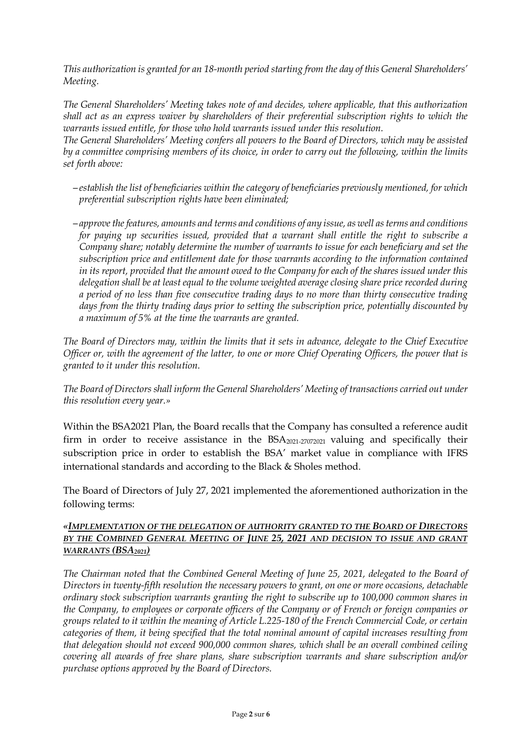*This authorization is granted for an 18-month period starting from the day of this General Shareholders' Meeting.*

*The General Shareholders' Meeting takes note of and decides, where applicable, that this authorization shall act as an express waiver by shareholders of their preferential subscription rights to which the warrants issued entitle, for those who hold warrants issued under this resolution.*

*The General Shareholders' Meeting confers all powers to the Board of Directors, which may be assisted by a committee comprising members of its choice, in order to carry out the following, within the limits set forth above:*

- *establish the list of beneficiaries within the category of beneficiaries previously mentioned, for which preferential subscription rights have been eliminated;*
- *approve the features, amounts and terms and conditions of any issue, as well as terms and conditions for paying up securities issued, provided that a warrant shall entitle the right to subscribe a Company share; notably determine the number of warrants to issue for each beneficiary and set the subscription price and entitlement date for those warrants according to the information contained in its report, provided that the amount owed to the Company for each of the shares issued under this delegation shall be at least equal to the volume weighted average closing share price recorded during a period of no less than five consecutive trading days to no more than thirty consecutive trading days from the thirty trading days prior to setting the subscription price, potentially discounted by a maximum of 5% at the time the warrants are granted.*

*The Board of Directors may, within the limits that it sets in advance, delegate to the Chief Executive Officer or, with the agreement of the latter, to one or more Chief Operating Officers, the power that is granted to it under this resolution.*

*The Board of Directors shall inform the General Shareholders' Meeting of transactions carried out under this resolution every year.»*

Within the BSA2021 Plan, the Board recalls that the Company has consulted a reference audit firm in order to receive assistance in the BSA<sub>2021-27072021</sub> valuing and specifically their subscription price in order to establish the BSA' market value in compliance with IFRS international standards and according to the Black & Sholes method.

The Board of Directors of July 27, 2021 implemented the aforementioned authorization in the following terms:

### *«IMPLEMENTATION OF THE DELEGATION OF AUTHORITY GRANTED TO THE BOARD OF DIRECTORS BY THE COMBINED GENERAL MEETING OF JUNE 25, 2021 AND DECISION TO ISSUE AND GRANT WARRANTS (BSA2021)*

*The Chairman noted that the Combined General Meeting of June 25, 2021, delegated to the Board of Directors in twenty-fifth resolution the necessary powers to grant, on one or more occasions, detachable ordinary stock subscription warrants granting the right to subscribe up to 100,000 common shares in the Company, to employees or corporate officers of the Company or of French or foreign companies or groups related to it within the meaning of Article L.225-180 of the French Commercial Code, or certain categories of them, it being specified that the total nominal amount of capital increases resulting from that delegation should not exceed 900,000 common shares, which shall be an overall combined ceiling covering all awards of free share plans, share subscription warrants and share subscription and/or purchase options approved by the Board of Directors.*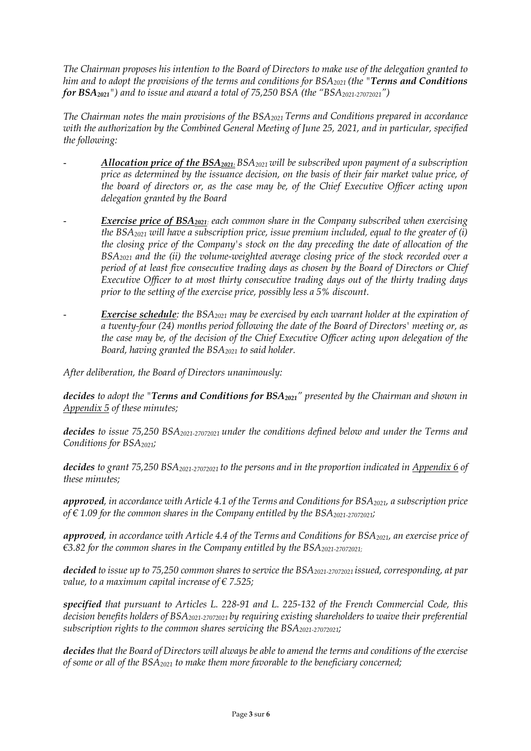*The Chairman proposes his intention to the Board of Directors to make use of the delegation granted to him and to adopt the provisions of the terms and conditions for BSA2021 (the "Terms and Conditions for BSA2021") and to issue and award a total of 75,250 BSA (the "BSA2021-27072021")*

*The Chairman notes the main provisions of the BSA2021 Terms and Conditions prepared in accordance with the authorization by the Combined General Meeting of June 25, 2021, and in particular, specified the following:* 

- *Allocation price of the BSA2021: BSA2021 will be subscribed upon payment of a subscription price as determined by the issuance decision, on the basis of their fair market value price, of the board of directors or, as the case may be, of the Chief Executive Officer acting upon delegation granted by the Board*
- *<u>Exercise price of BSA<sub>2021</sub></u>: each common share in the Company subscribed when exercising the BSA2021 will have a subscription price, issue premium included, equal to the greater of (i) the closing price of the Company's stock on the day preceding the date of allocation of the BSA2021 and the (ii) the volume-weighted average closing price of the stock recorded over a period of at least five consecutive trading days as chosen by the Board of Directors or Chief Executive Officer to at most thirty consecutive trading days out of the thirty trading days prior to the setting of the exercise price, possibly less a 5% discount.*
- *<u>Exercise schedule</u>: the BSA<sub>2021</sub> may be exercised by each warrant holder at the expiration of a twenty-four (24) months period following the date of the Board of Directors' meeting or, as the case may be, of the decision of the Chief Executive Officer acting upon delegation of the Board, having granted the BSA2021 to said holder.*

*After deliberation, the Board of Directors unanimously:*

*decides to adopt the "Terms and Conditions for BSA2021" presented by the Chairman and shown in Appendix 5 of these minutes;*

*decides to issue 75,250 BSA2021-27072021 under the conditions defined below and under the Terms and Conditions for BSA2021;*

*decides to grant 75,250 BSA2021-27072021 to the persons and in the proportion indicated in Appendix 6 of these minutes;*

*approved, in accordance with Article 4.1 of the Terms and Conditions for BSA2021, a subscription price of*  $\in$  1.09 for the common shares in the Company entitled by the BSA<sub>2021-27072021</sub>;

*approved, in accordance with Article 4.4 of the Terms and Conditions for BSA2021, an exercise price of €3.82 for the common shares in the Company entitled by the BSA2021-27072021;*

*decided to issue up to 75,250 common shares to service the BSA2021-27072021 issued, corresponding, at par value, to a maximum capital increase of € 7.525;*

*specified that pursuant to Articles L. 228-91 and L. 225-132 of the French Commercial Code, this decision benefits holders of BSA2021-27072021 by requiring existing shareholders to waive their preferential subscription rights to the common shares servicing the BSA2021-27072021;* 

*decides that the Board of Directors will always be able to amend the terms and conditions of the exercise of some or all of the BSA2021 to make them more favorable to the beneficiary concerned;*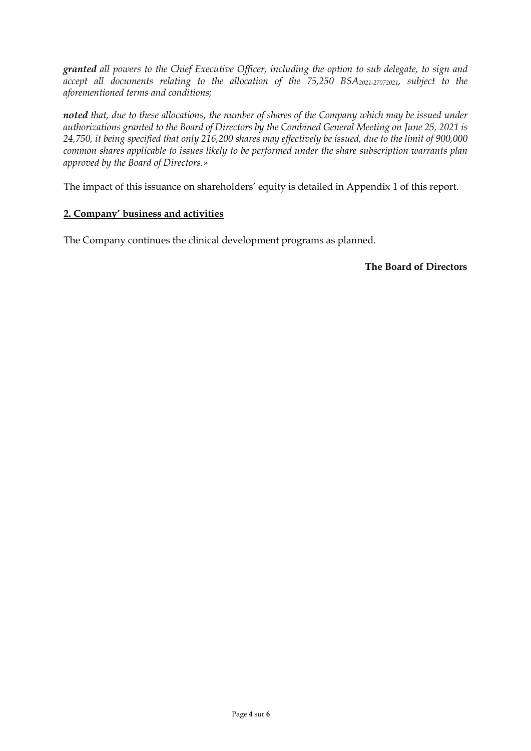*granted all powers to the Chief Executive Officer, including the option to sub delegate, to sign and*  accept all documents relating to the allocation of the 75,250 BSA<sub>2021-27072021</sub>, subject to the *aforementioned terms and conditions;* 

*noted that, due to these allocations, the number of shares of the Company which may be issued under authorizations granted to the Board of Directors by the Combined General Meeting on June 25, 2021 is 24,750, it being specified that only 216,200 shares may effectively be issued, due to the limit of 900,000 common shares applicable to issues likely to be performed under the share subscription warrants plan approved by the Board of Directors.»*

The impact of this issuance on shareholders' equity is detailed in Appendix 1 of this report.

## **2. Company' business and activities**

The Company continues the clinical development programs as planned.

**The Board of Directors**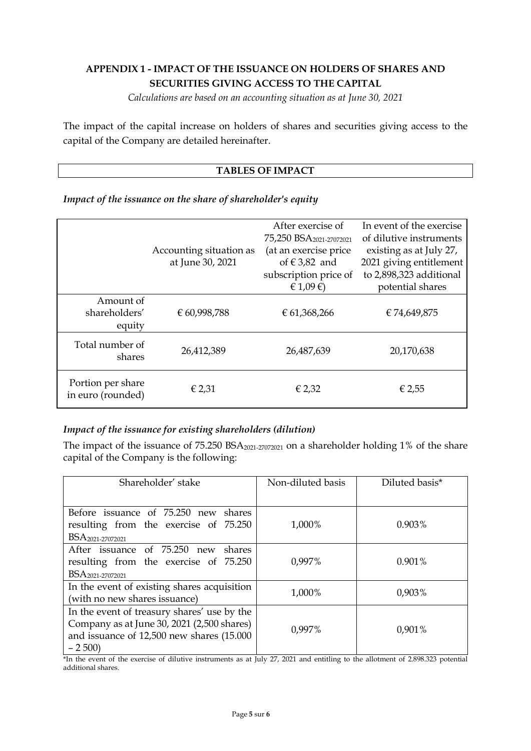# **APPENDIX 1 - IMPACT OF THE ISSUANCE ON HOLDERS OF SHARES AND SECURITIES GIVING ACCESS TO THE CAPITAL**

*Calculations are based on an accounting situation as at June 30, 2021*

The impact of the capital increase on holders of shares and securities giving access to the capital of the Company are detailed hereinafter.

### **TABLES OF IMPACT**

*Impact of the issuance on the share of shareholder's equity*

|                                        | Accounting situation as<br>at June 30, 2021 | After exercise of<br>75,250 BSA <sub>2021-27072021</sub><br>(at an exercise price<br>of $€ 3,82$ and<br>subscription price of<br>€ 1,09 $€$ ) | In event of the exercise<br>of dilutive instruments<br>existing as at July 27,<br>2021 giving entitlement<br>to 2,898,323 additional<br>potential shares |
|----------------------------------------|---------------------------------------------|-----------------------------------------------------------------------------------------------------------------------------------------------|----------------------------------------------------------------------------------------------------------------------------------------------------------|
| Amount of<br>shareholders'<br>equity   | € 60,998,788                                | € 61,368,266                                                                                                                                  | €74,649,875                                                                                                                                              |
| Total number of<br>shares              | 26,412,389                                  | 26,487,639                                                                                                                                    | 20,170,638                                                                                                                                               |
| Portion per share<br>in euro (rounded) | € 2,31                                      | € 2,32                                                                                                                                        | € 2,55                                                                                                                                                   |

### *Impact of the issuance for existing shareholders (dilution)*

The impact of the issuance of  $75.250 BSA<sub>2021-27072021</sub>$  on a shareholder holding 1% of the share capital of the Company is the following:

| Shareholder' stake                          | Non-diluted basis | Diluted basis* |
|---------------------------------------------|-------------------|----------------|
|                                             |                   |                |
| Before issuance of 75.250 new shares        |                   |                |
| resulting from the exercise of 75.250       | 1,000%            | 0.903%         |
| BSA <sub>2021-27072021</sub>                |                   |                |
| After issuance of 75.250 new<br>shares      |                   |                |
| resulting from the exercise of 75.250       | 0,997%            | 0.901%         |
| BSA <sub>2021-27072021</sub>                |                   |                |
| In the event of existing shares acquisition | 1,000%            | 0,903%         |
| (with no new shares issuance)               |                   |                |
| In the event of treasury shares' use by the |                   |                |
| Company as at June 30, 2021 (2,500 shares)  | 0,997%            |                |
| and issuance of 12,500 new shares (15.000   |                   | 0,901%         |
| $-2500$                                     |                   |                |

\*In the event of the exercise of dilutive instruments as at July 27, 2021 and entitling to the allotment of 2.898.323 potential additional shares.